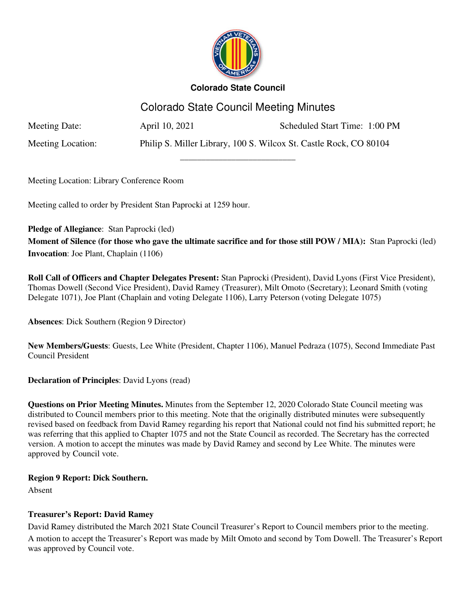

# **Colorado State Council**

# Colorado State Council Meeting Minutes

\_\_\_\_\_\_\_\_\_\_\_\_\_\_\_\_\_\_\_\_\_\_\_\_\_\_\_

Meeting Date: April 10, 2021 Scheduled Start Time: 1:00 PM

Meeting Location: Philip S. Miller Library, 100 S. Wilcox St. Castle Rock, CO 80104

Meeting Location: Library Conference Room

Meeting called to order by President Stan Paprocki at 1259 hour.

**Pledge of Allegiance**: Stan Paprocki (led)

**Moment of Silence (for those who gave the ultimate sacrifice and for those still POW / MIA):** Stan Paprocki (led) **Invocation**: Joe Plant, Chaplain (1106)

**Roll Call of Officers and Chapter Delegates Present:** Stan Paprocki (President), David Lyons (First Vice President), Thomas Dowell (Second Vice President), David Ramey (Treasurer), Milt Omoto (Secretary); Leonard Smith (voting Delegate 1071), Joe Plant (Chaplain and voting Delegate 1106), Larry Peterson (voting Delegate 1075)

**Absences**: Dick Southern (Region 9 Director)

**New Members/Guests**: Guests, Lee White (President, Chapter 1106), Manuel Pedraza (1075), Second Immediate Past Council President

**Declaration of Principles**: David Lyons (read)

**Questions on Prior Meeting Minutes.** Minutes from the September 12, 2020 Colorado State Council meeting was distributed to Council members prior to this meeting. Note that the originally distributed minutes were subsequently revised based on feedback from David Ramey regarding his report that National could not find his submitted report; he was referring that this applied to Chapter 1075 and not the State Council as recorded. The Secretary has the corrected version. A motion to accept the minutes was made by David Ramey and second by Lee White. The minutes were approved by Council vote.

## **Region 9 Report: Dick Southern.**

Absent

#### **Treasurer's Report: David Ramey**

David Ramey distributed the March 2021 State Council Treasurer's Report to Council members prior to the meeting. A motion to accept the Treasurer's Report was made by Milt Omoto and second by Tom Dowell. The Treasurer's Report was approved by Council vote.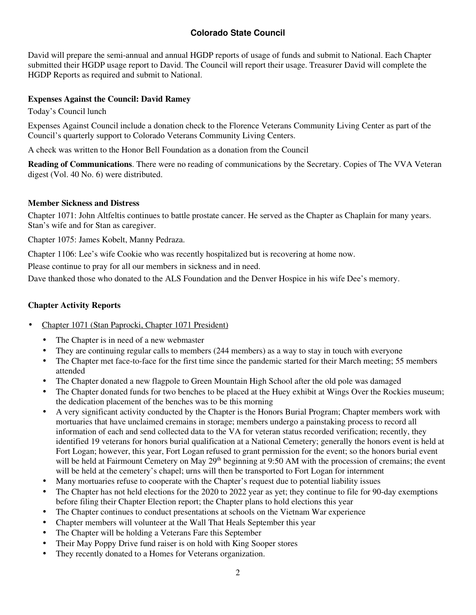# **Colorado State Council**

David will prepare the semi-annual and annual HGDP reports of usage of funds and submit to National. Each Chapter submitted their HGDP usage report to David. The Council will report their usage. Treasurer David will complete the HGDP Reports as required and submit to National.

#### **Expenses Against the Council: David Ramey**

Today's Council lunch

Expenses Against Council include a donation check to the Florence Veterans Community Living Center as part of the Council's quarterly support to Colorado Veterans Community Living Centers.

A check was written to the Honor Bell Foundation as a donation from the Council

**Reading of Communications**. There were no reading of communications by the Secretary. Copies of The VVA Veteran digest (Vol. 40 No. 6) were distributed.

#### **Member Sickness and Distress**

Chapter 1071: John Altfeltis continues to battle prostate cancer. He served as the Chapter as Chaplain for many years. Stan's wife and for Stan as caregiver.

Chapter 1075: James Kobelt, Manny Pedraza.

Chapter 1106: Lee's wife Cookie who was recently hospitalized but is recovering at home now.

Please continue to pray for all our members in sickness and in need.

Dave thanked those who donated to the ALS Foundation and the Denver Hospice in his wife Dee's memory.

#### **Chapter Activity Reports**

- Chapter 1071 (Stan Paprocki, Chapter 1071 President)
	- The Chapter is in need of a new webmaster
	- They are continuing regular calls to members (244 members) as a way to stay in touch with everyone
	- The Chapter met face-to-face for the first time since the pandemic started for their March meeting; 55 members attended
	- The Chapter donated a new flagpole to Green Mountain High School after the old pole was damaged
	- The Chapter donated funds for two benches to be placed at the Huey exhibit at Wings Over the Rockies museum; the dedication placement of the benches was to be this morning
	- A very significant activity conducted by the Chapter is the Honors Burial Program; Chapter members work with mortuaries that have unclaimed cremains in storage; members undergo a painstaking process to record all information of each and send collected data to the VA for veteran status recorded verification; recently, they identified 19 veterans for honors burial qualification at a National Cemetery; generally the honors event is held at Fort Logan; however, this year, Fort Logan refused to grant permission for the event; so the honors burial event will be held at Fairmount Cemetery on May 29<sup>th</sup> beginning at 9:50 AM with the procession of cremains; the event will be held at the cemetery's chapel; urns will then be transported to Fort Logan for internment
	- Many mortuaries refuse to cooperate with the Chapter's request due to potential liability issues
	- The Chapter has not held elections for the 2020 to 2022 year as yet; they continue to file for 90-day exemptions before filing their Chapter Election report; the Chapter plans to hold elections this year
	- The Chapter continues to conduct presentations at schools on the Vietnam War experience
	- Chapter members will volunteer at the Wall That Heals September this year
	- The Chapter will be holding a Veterans Fare this September
	- Their May Poppy Drive fund raiser is on hold with King Sooper stores
	- They recently donated to a Homes for Veterans organization.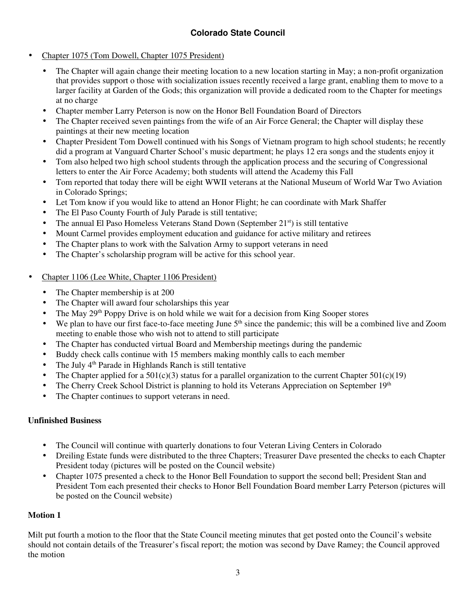- Chapter 1075 (Tom Dowell, Chapter 1075 President)
	- The Chapter will again change their meeting location to a new location starting in May; a non-profit organization that provides support o those with socialization issues recently received a large grant, enabling them to move to a larger facility at Garden of the Gods; this organization will provide a dedicated room to the Chapter for meetings at no charge
	- Chapter member Larry Peterson is now on the Honor Bell Foundation Board of Directors
	- The Chapter received seven paintings from the wife of an Air Force General; the Chapter will display these paintings at their new meeting location
	- Chapter President Tom Dowell continued with his Songs of Vietnam program to high school students; he recently did a program at Vanguard Charter School's music department; he plays 12 era songs and the students enjoy it
	- Tom also helped two high school students through the application process and the securing of Congressional letters to enter the Air Force Academy; both students will attend the Academy this Fall
	- Tom reported that today there will be eight WWII veterans at the National Museum of World War Two Aviation in Colorado Springs;
	- Let Tom know if you would like to attend an Honor Flight; he can coordinate with Mark Shaffer
	- The El Paso County Fourth of July Parade is still tentative;
	- The annual El Paso Homeless Veterans Stand Down (September  $21<sup>st</sup>$ ) is still tentative
	- Mount Carmel provides employment education and guidance for active military and retirees
	- The Chapter plans to work with the Salvation Army to support veterans in need
	- The Chapter's scholarship program will be active for this school year.
- Chapter 1106 (Lee White, Chapter 1106 President)
	- The Chapter membership is at 200
	- The Chapter will award four scholarships this year
	- The May 29<sup>th</sup> Poppy Drive is on hold while we wait for a decision from King Sooper stores
	- We plan to have our first face-to-face meeting June  $5<sup>th</sup>$  since the pandemic; this will be a combined live and Zoom meeting to enable those who wish not to attend to still participate
	- The Chapter has conducted virtual Board and Membership meetings during the pandemic
	- Buddy check calls continue with 15 members making monthly calls to each member
	- The July 4<sup>th</sup> Parade in Highlands Ranch is still tentative
	- The Chapter applied for a  $501(c)(3)$  status for a parallel organization to the current Chapter  $501(c)(19)$
	- The Cherry Creek School District is planning to hold its Veterans Appreciation on September 19<sup>th</sup>
	- The Chapter continues to support veterans in need.

#### **Unfinished Business**

- The Council will continue with quarterly donations to four Veteran Living Centers in Colorado
- Dreiling Estate funds were distributed to the three Chapters; Treasurer Dave presented the checks to each Chapter President today (pictures will be posted on the Council website)
- Chapter 1075 presented a check to the Honor Bell Foundation to support the second bell; President Stan and President Tom each presented their checks to Honor Bell Foundation Board member Larry Peterson (pictures will be posted on the Council website)

#### **Motion 1**

Milt put fourth a motion to the floor that the State Council meeting minutes that get posted onto the Council's website should not contain details of the Treasurer's fiscal report; the motion was second by Dave Ramey; the Council approved the motion